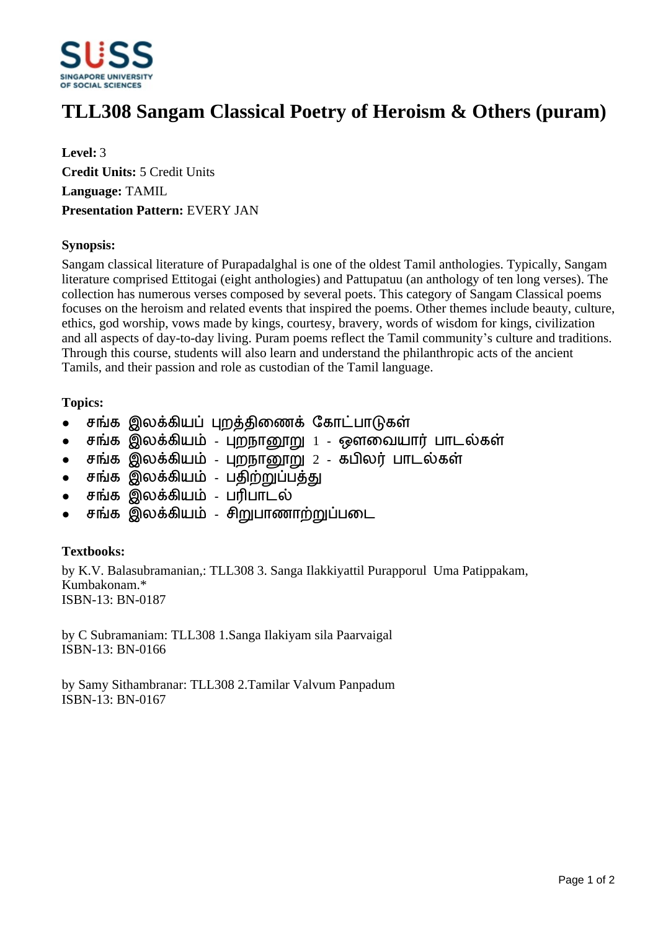

# **TLL308 Sangam Classical Poetry of Heroism & Others (puram)**

**Level:** 3 **Credit Units:** 5 Credit Units **Language:** TAMIL **Presentation Pattern:** EVERY JAN

#### **Synopsis:**

Sangam classical literature of Purapadalghal is one of the oldest Tamil anthologies. Typically, Sangam literature comprised Ettitogai (eight anthologies) and Pattupatuu (an anthology of ten long verses). The collection has numerous verses composed by several poets. This category of Sangam Classical poems focuses on the heroism and related events that inspired the poems. Other themes include beauty, culture, ethics, god worship, vows made by kings, courtesy, bravery, words of wisdom for kings, civilization and all aspects of day-to-day living. Puram poems reflect the Tamil community's culture and traditions. Through this course, students will also learn and understand the philanthropic acts of the ancient Tamils, and their passion and role as custodian of the Tamil language.

## **Topics:**

- சங்க இலக்கியப் புறத்திணைக் கோட்பாடுகள்
- சங்க இலக்கியம் புறநானூறு 1 ஔவையார் பாடல்கள்
- சங்க இலக்கியம் புறநானூறு 2 கபிலர் பாடல்கள்
- சங்க இலக்கியம் பகிற்றுப்பக்கு
- சங்க இலக்கியம் பரிபாடல்
- சங்க இலக்கியம் சிறுபாணாற்றுப்படை

## **Textbooks:**

by K.V. Balasubramanian,: TLL308 3. Sanga Ilakkiyattil Purapporul Uma Patippakam, Kumbakonam.\* ISBN-13: BN-0187

by C Subramaniam: TLL308 1.Sanga Ilakiyam sila Paarvaigal ISBN-13: BN-0166

by Samy Sithambranar: TLL308 2.Tamilar Valvum Panpadum ISBN-13: BN-0167